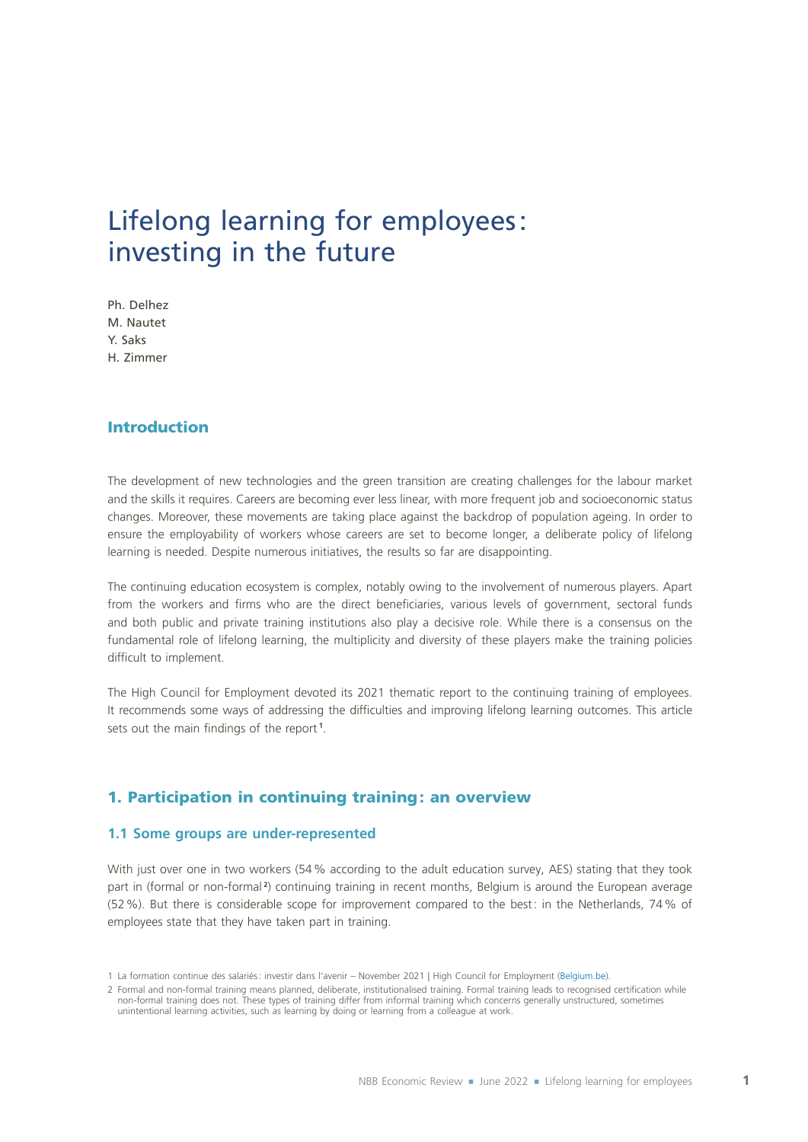# Lifelong learning for employees: investing in the future

Ph. Delhez M. Nautet Y. Saks H. Zimmer

# Introduction

The development of new technologies and the green transition are creating challenges for the labour market and the skills it requires. Careers are becoming ever less linear, with more frequent job and socioeconomic status changes. Moreover, these movements are taking place against the backdrop of population ageing. In order to ensure the employability of workers whose careers are set to become longer, a deliberate policy of lifelong learning is needed. Despite numerous initiatives, the results so far are disappointing.

The continuing education ecosystem is complex, notably owing to the involvement of numerous players. Apart from the workers and firms who are the direct beneficiaries, various levels of government, sectoral funds and both public and private training institutions also play a decisive role. While there is a consensus on the fundamental role of lifelong learning, the multiplicity and diversity of these players make the training policies difficult to implement.

The High Council for Employment devoted its 2021 thematic report to the continuing training of employees. It recommends some ways of addressing the difficulties and improving lifelong learning outcomes. This article sets out the main findings of the report **<sup>1</sup>** .

# 1. Participation in continuing training: an overview

#### **1.1 Some groups are under‑represented**

With just over one in two workers (54 % according to the adult education survey, AES) stating that they took part in (formal or non‑formal **<sup>2</sup>** ) continuing training in recent months, Belgium is around the European average (52%). But there is considerable scope for improvement compared to the best: in the Netherlands, 74% of employees state that they have taken part in training.

<sup>1</sup> La formation continue des salariés: investir dans l'avenir – November 2021 | High Council for Employment ([Belgium.be](https://cse.belgique.be/fr/accueil/rapports-avis/rapports-2021/la-formation-continue-des-salaries-investir-dans-lavenir-novembre-2021)).

<sup>2</sup> Formal and non‑formal training means planned, deliberate, institutionalised training. Formal training leads to recognised certification while non-formal training does not. These types of training differ from informal training which concerns generally unstructured, sometimes unintentional learning activities, such as learning by doing or learning from a colleague at work.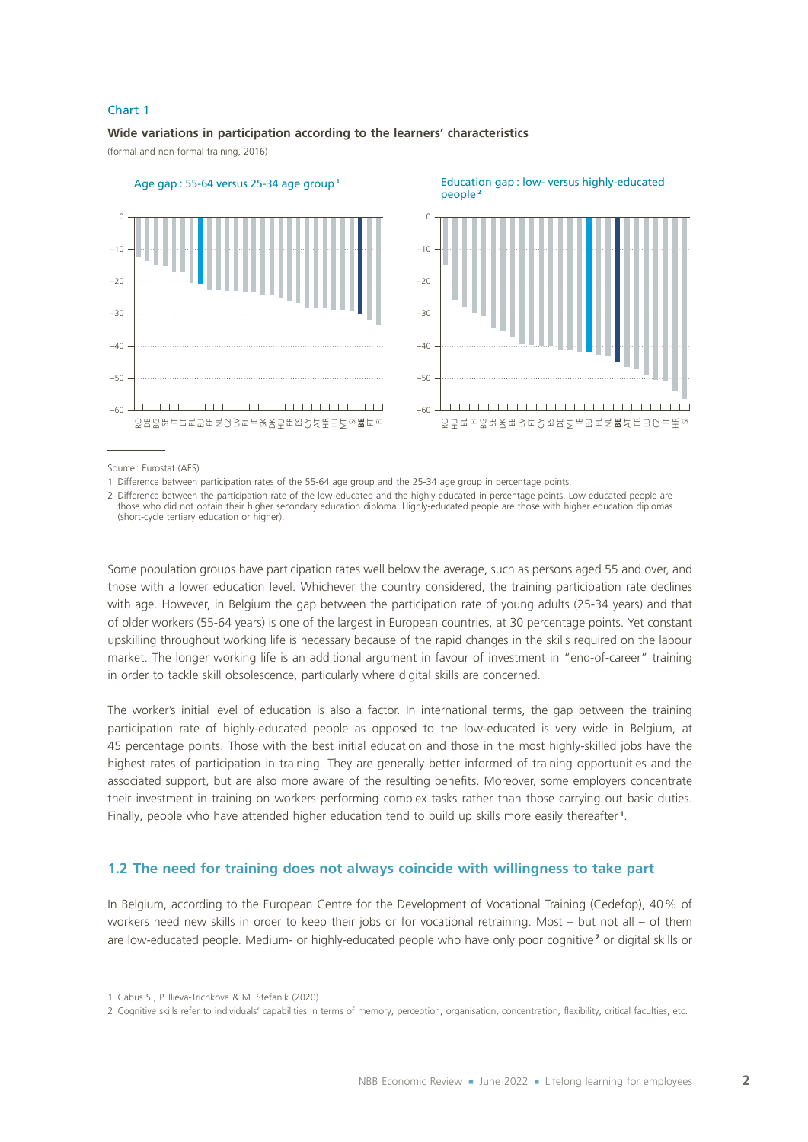#### Chart 1

#### **Wide variations in participation according to the learners' characteristics**

(formal and non‑formal training, 2016)





Source: Eurostat (AES).

1 Difference between participation rates of the 55‑64 age group and the 25‑34 age group in percentage points.

2 Difference between the participation rate of the low-educated and the highly-educated in percentage points. Low-educated people are those who did not obtain their higher secondary education diploma. Highly-educated people are those with higher education diplomas (short‑cycle tertiary education or higher).

Some population groups have participation rates well below the average, such as persons aged 55 and over, and those with a lower education level. Whichever the country considered, the training participation rate declines with age. However, in Belgium the gap between the participation rate of young adults (25‑34 years) and that of older workers (55‑64 years) is one of the largest in European countries, at 30 percentage points. Yet constant upskilling throughout working life is necessary because of the rapid changes in the skills required on the labour market. The longer working life is an additional argument in favour of investment in "end-of-career" training in order to tackle skill obsolescence, particularly where digital skills are concerned.

The worker's initial level of education is also a factor. In international terms, the gap between the training participation rate of highly-educated people as opposed to the low-educated is very wide in Belgium, at 45 percentage points. Those with the best initial education and those in the most highly‑skilled jobs have the highest rates of participation in training. They are generally better informed of training opportunities and the associated support, but are also more aware of the resulting benefits. Moreover, some employers concentrate their investment in training on workers performing complex tasks rather than those carrying out basic duties. Finally, people who have attended higher education tend to build up skills more easily thereafter **<sup>1</sup>** .

# **1.2 The need for training does not always coincide with willingness to take part**

In Belgium, according to the European Centre for the Development of Vocational Training (Cedefop), 40 % of workers need new skills in order to keep their jobs or for vocational retraining. Most – but not all – of them are low-educated people. Medium- or highly-educated people who have only poor cognitive<sup>2</sup> or digital skills or

<sup>1</sup> Cabus S., P. Ilieva‑Trichkova & M. Stefanik (2020).

<sup>2</sup> Cognitive skills refer to individuals' capabilities in terms of memory, perception, organisation, concentration, flexibility, critical faculties, etc.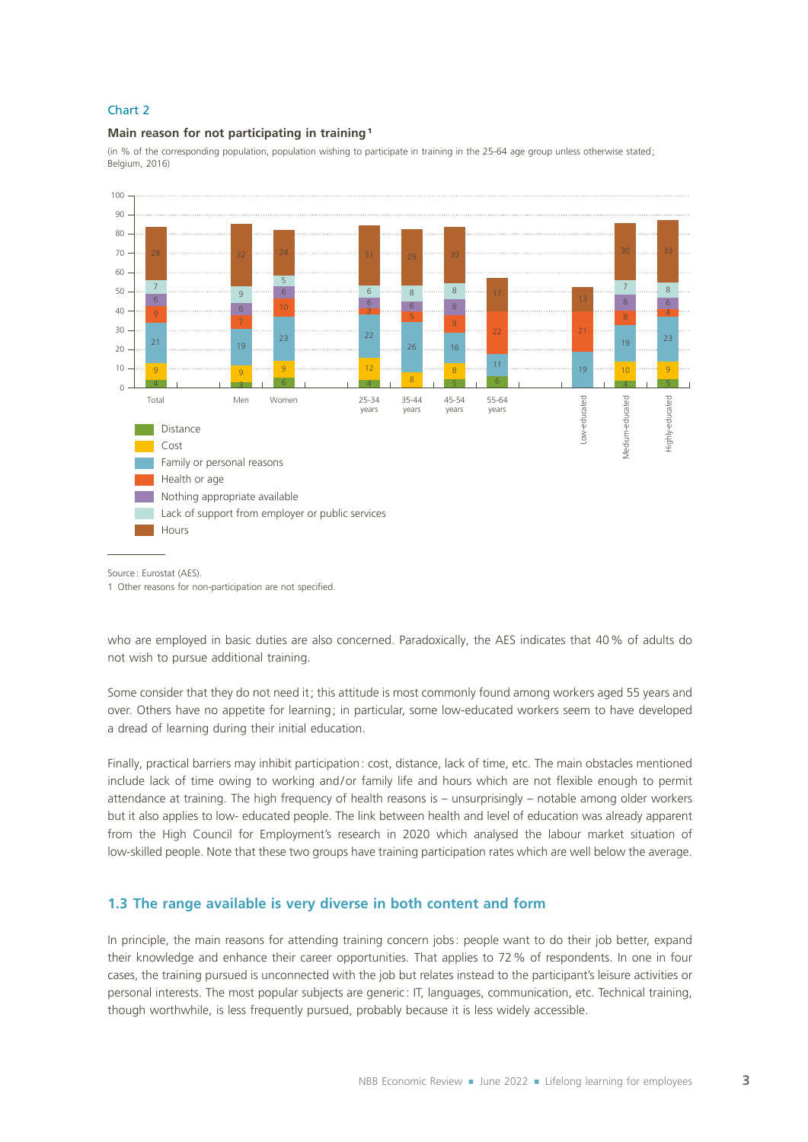#### Chart 2

#### **Main reason for not participating in training** <sup>1</sup>

(in % of the corresponding population, population wishing to participate in training in the 25-64 age group unless otherwise stated; Belgium, 2016)



Source: Eurostat (AFS).

1 Other reasons for non-participation are not specified.

who are employed in basic duties are also concerned. Paradoxically, the AES indicates that 40% of adults do not wish to pursue additional training.

Some consider that they do not need it; this attitude is most commonly found among workers aged 55 years and over. Others have no appetite for learning; in particular, some low‑educated workers seem to have developed a dread of learning during their initial education.

Finally, practical barriers may inhibit participation: cost, distance, lack of time, etc. The main obstacles mentioned include lack of time owing to working and/or family life and hours which are not flexible enough to permit attendance at training. The high frequency of health reasons is – unsurprisingly – notable among older workers but it also applies to low‑ educated people. The link between health and level of education was already apparent from the High Council for Employment's research in 2020 which analysed the labour market situation of low-skilled people. Note that these two groups have training participation rates which are well below the average.

#### **1.3 The range available is very diverse in both content and form**

In principle, the main reasons for attending training concern jobs: people want to do their job better, expand their knowledge and enhance their career opportunities. That applies to 72% of respondents. In one in four cases, the training pursued is unconnected with the job but relates instead to the participant's leisure activities or personal interests. The most popular subjects are generic: IT, languages, communication, etc. Technical training, though worthwhile, is less frequently pursued, probably because it is less widely accessible.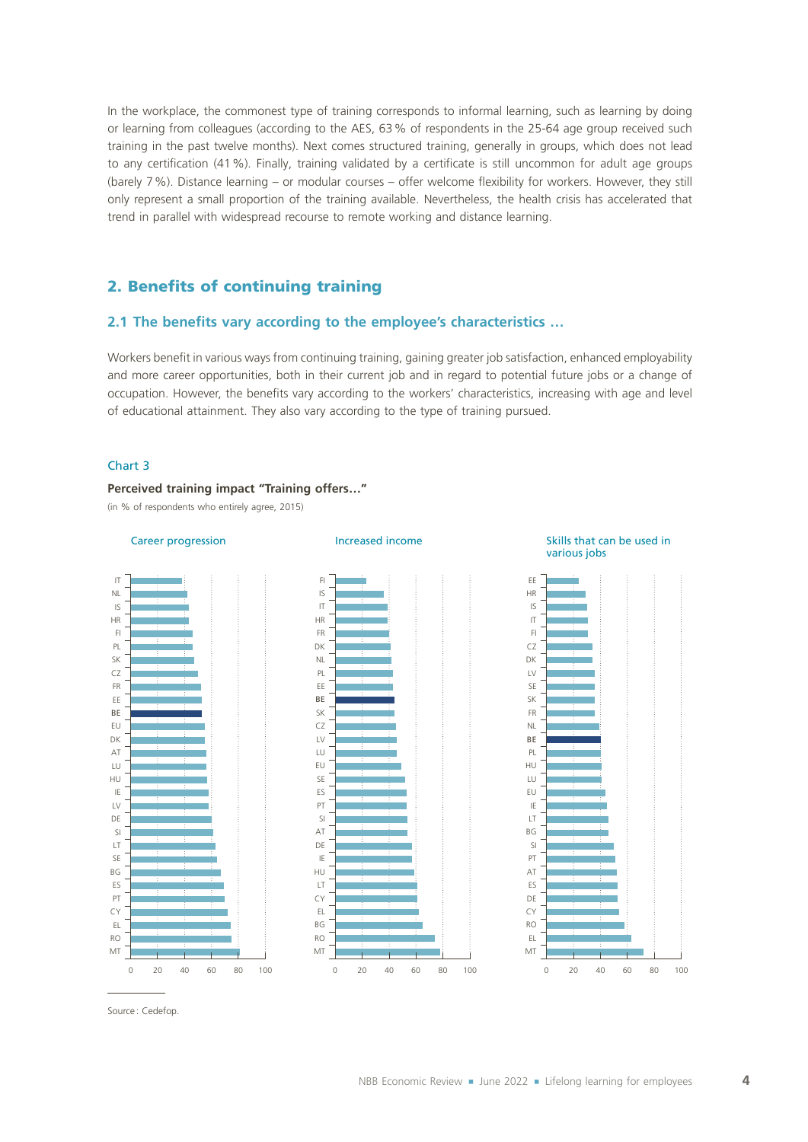In the workplace, the commonest type of training corresponds to informal learning, such as learning by doing or learning from colleagues (according to the AES, 63% of respondents in the 25-64 age group received such training in the past twelve months). Next comes structured training, generally in groups, which does not lead to any certification (41%). Finally, training validated by a certificate is still uncommon for adult age groups (barely 7%). Distance learning – or modular courses – offer welcome flexibility for workers. However, they still only represent a small proportion of the training available. Nevertheless, the health crisis has accelerated that trend in parallel with widespread recourse to remote working and distance learning.

# 2. Benefits of continuing training

# **2.1 The benefits vary according to the employee's characteristics …**

Workers benefit in various ways from continuing training, gaining greater job satisfaction, enhanced employability and more career opportunities, both in their current job and in regard to potential future jobs or a change of occupation. However, the benefits vary according to the workers' characteristics, increasing with age and level of educational attainment. They also vary according to the type of training pursued.

#### Chart 3

#### **Perceived training impact "Training offers…"**

(in % of respondents who entirely agree, 2015)









Source: Cedefop.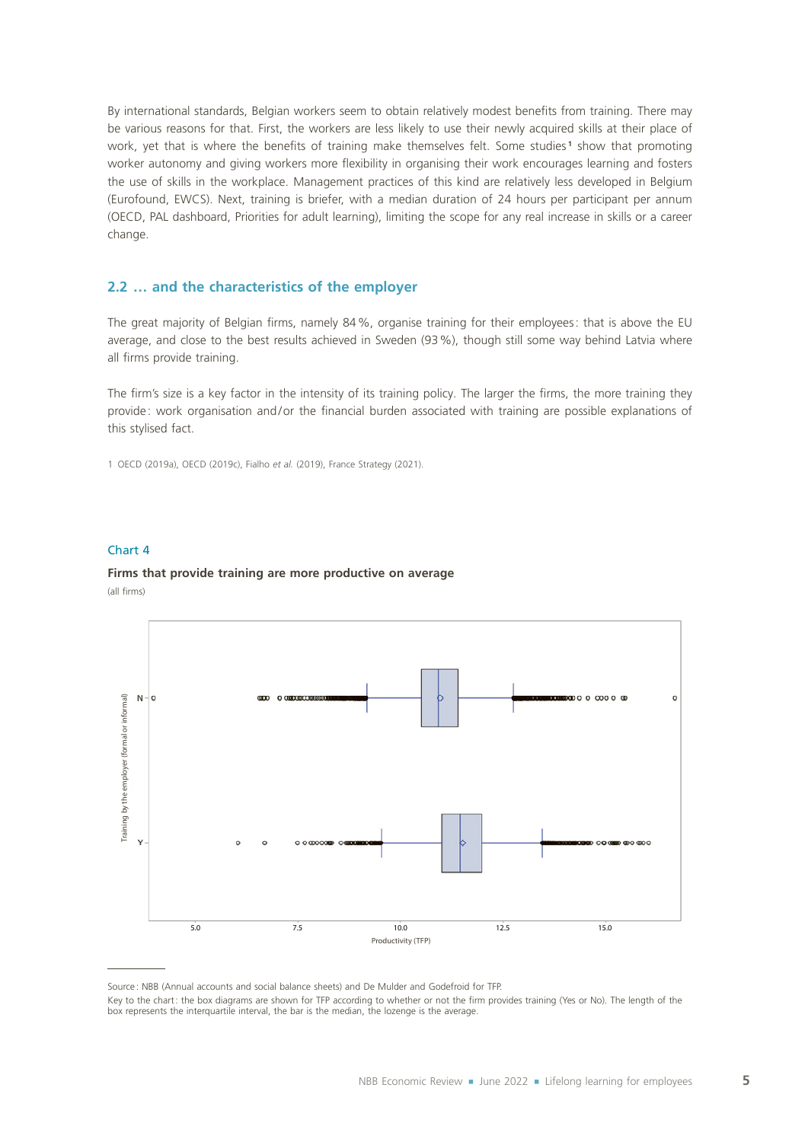By international standards, Belgian workers seem to obtain relatively modest benefits from training. There may be various reasons for that. First, the workers are less likely to use their newly acquired skills at their place of work, yet that is where the benefits of training make themselves felt. Some studies<sup>1</sup> show that promoting worker autonomy and giving workers more flexibility in organising their work encourages learning and fosters the use of skills in the workplace. Management practices of this kind are relatively less developed in Belgium (Eurofound, EWCS). Next, training is briefer, with a median duration of 24 hours per participant per annum (OECD, PAL dashboard, Priorities for adult learning), limiting the scope for any real increase in skills or a career change.

#### **2.2 … and the characteristics of the employer**

The great majority of Belgian firms, namely 84%, organise training for their employees: that is above the EU average, and close to the best results achieved in Sweden (93%), though still some way behind Latvia where all firms provide training.

The firm's size is a key factor in the intensity of its training policy. The larger the firms, the more training they provide : work organisation and/or the financial burden associated with training are possible explanations of this stylised fact.

1 OECD (2019a), OECD (2019c), Fialho *et al.* (2019), France Strategy (2021).

#### Chart 4

# **Firms that provide training are more productive on average**



(all firms)

Source: NBB (Annual accounts and social balance sheets) and De Mulder and Godefroid for TFP.

Key to the chart: the box diagrams are shown for TFP according to whether or not the firm provides training (Yes or No). The length of the box represents the interquartile interval, the bar is the median, the lozenge is the average.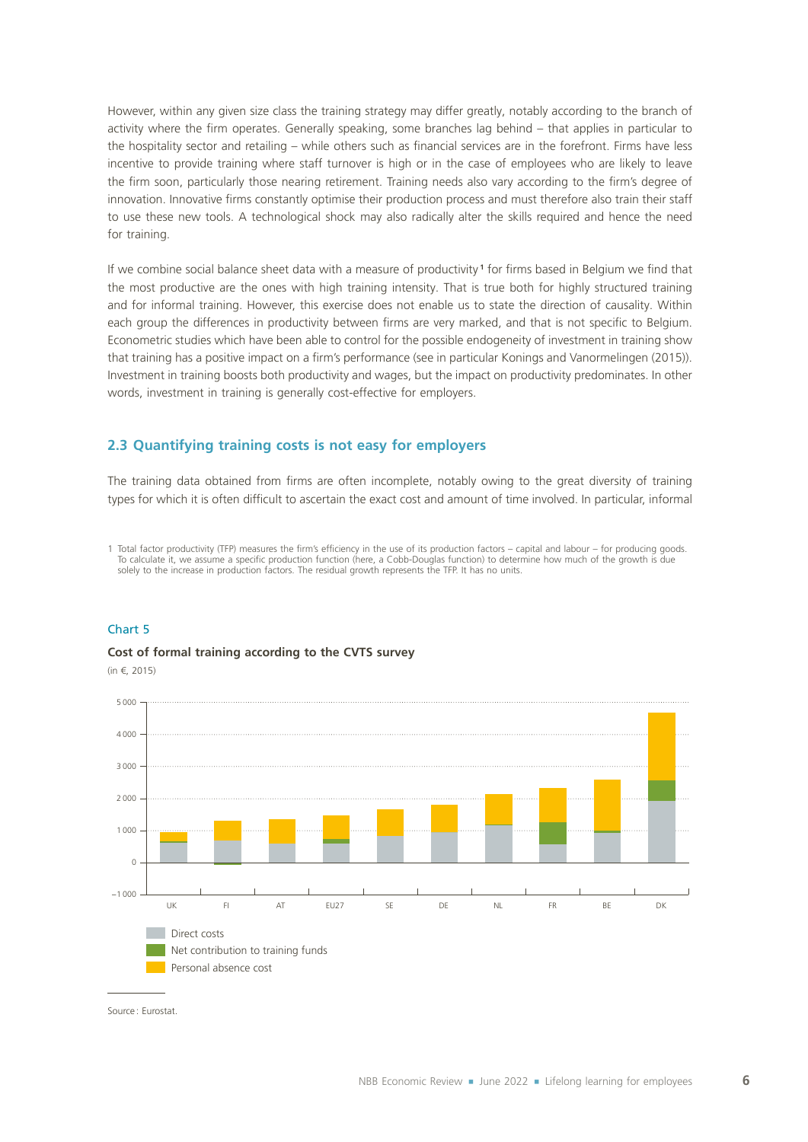However, within any given size class the training strategy may differ greatly, notably according to the branch of activity where the firm operates. Generally speaking, some branches lag behind – that applies in particular to the hospitality sector and retailing – while others such as financial services are in the forefront. Firms have less incentive to provide training where staff turnover is high or in the case of employees who are likely to leave the firm soon, particularly those nearing retirement. Training needs also vary according to the firm's degree of innovation. Innovative firms constantly optimise their production process and must therefore also train their staff to use these new tools. A technological shock may also radically alter the skills required and hence the need for training.

If we combine social balance sheet data with a measure of productivity **<sup>1</sup>** for firms based in Belgium we find that the most productive are the ones with high training intensity. That is true both for highly structured training and for informal training. However, this exercise does not enable us to state the direction of causality. Within each group the differences in productivity between firms are very marked, and that is not specific to Belgium. Econometric studies which have been able to control for the possible endogeneity of investment in training show that training has a positive impact on a firm's performance (see in particular Konings and Vanormelingen (2015)). Investment in training boosts both productivity and wages, but the impact on productivity predominates. In other words, investment in training is generally cost-effective for employers.

#### **2.3 Quantifying training costs is not easy for employers**

The training data obtained from firms are often incomplete, notably owing to the great diversity of training types for which it is often difficult to ascertain the exact cost and amount of time involved. In particular, informal

1 Total factor productivity (TFP) measures the firm's efficiency in the use of its production factors – capital and labour – for producing goods. To calculate it, we assume a specific production function (here, a Cobb-Douglas function) to determine how much of the growth is due solely to the increase in production factors. The residual growth represents the TFP. It has no units.

#### Chart 5

#### **Cost of formal training according to the CVTS survey**

(in €, 2015)



Source: Eurostat.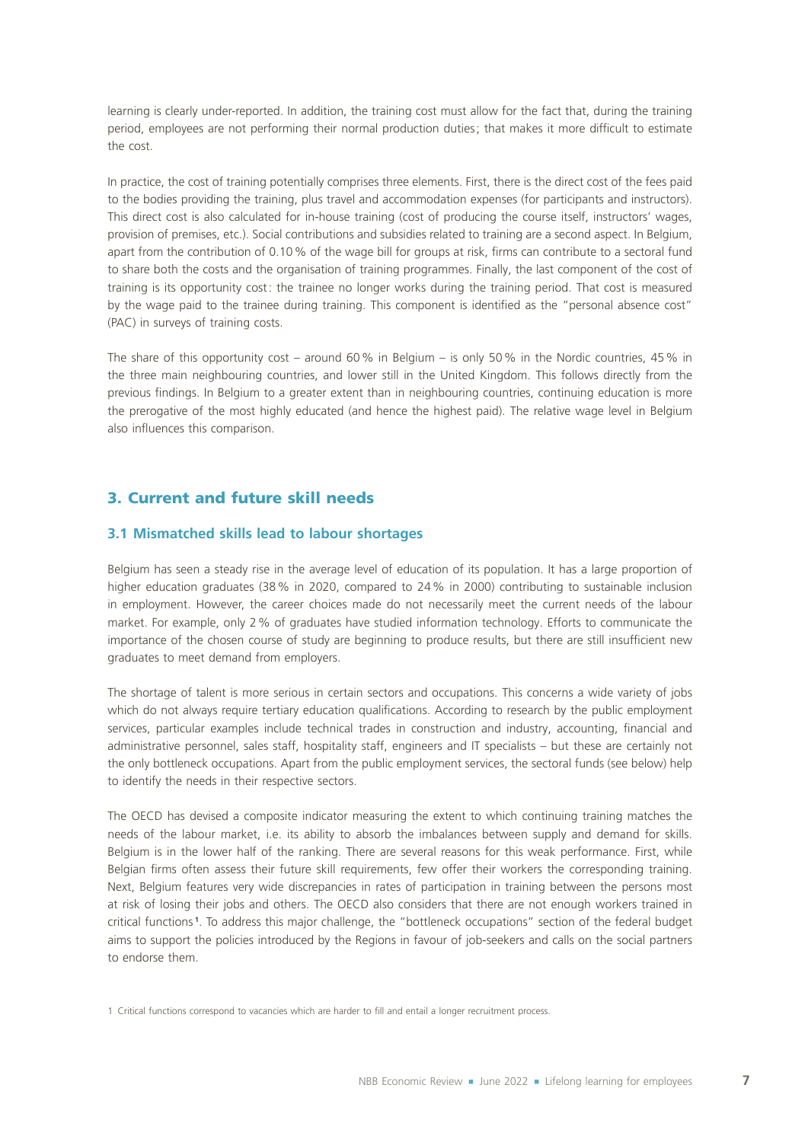learning is clearly under-reported. In addition, the training cost must allow for the fact that, during the training period, employees are not performing their normal production duties; that makes it more difficult to estimate the cost.

In practice, the cost of training potentially comprises three elements. First, there is the direct cost of the fees paid to the bodies providing the training, plus travel and accommodation expenses (for participants and instructors). This direct cost is also calculated for in-house training (cost of producing the course itself, instructors' wages, provision of premises, etc.). Social contributions and subsidies related to training are a second aspect. In Belgium, apart from the contribution of 0.10% of the wage bill for groups at risk, firms can contribute to a sectoral fund to share both the costs and the organisation of training programmes. Finally, the last component of the cost of training is its opportunity cost: the trainee no longer works during the training period. That cost is measured by the wage paid to the trainee during training. This component is identified as the "personal absence cost" (PAC) in surveys of training costs.

The share of this opportunity cost – around 60% in Belgium – is only 50% in the Nordic countries, 45% in the three main neighbouring countries, and lower still in the United Kingdom. This follows directly from the previous findings. In Belgium to a greater extent than in neighbouring countries, continuing education is more the prerogative of the most highly educated (and hence the highest paid). The relative wage level in Belgium also influences this comparison.

# 3. Current and future skill needs

#### **3.1 Mismatched skills lead to labour shortages**

Belgium has seen a steady rise in the average level of education of its population. It has a large proportion of higher education graduates (38% in 2020, compared to 24% in 2000) contributing to sustainable inclusion in employment. However, the career choices made do not necessarily meet the current needs of the labour market. For example, only 2% of graduates have studied information technology. Efforts to communicate the importance of the chosen course of study are beginning to produce results, but there are still insufficient new graduates to meet demand from employers.

The shortage of talent is more serious in certain sectors and occupations. This concerns a wide variety of jobs which do not always require tertiary education qualifications. According to research by the public employment services, particular examples include technical trades in construction and industry, accounting, financial and administrative personnel, sales staff, hospitality staff, engineers and IT specialists – but these are certainly not the only bottleneck occupations. Apart from the public employment services, the sectoral funds (see below) help to identify the needs in their respective sectors.

The OECD has devised a composite indicator measuring the extent to which continuing training matches the needs of the labour market, i.e. its ability to absorb the imbalances between supply and demand for skills. Belgium is in the lower half of the ranking. There are several reasons for this weak performance. First, while Belgian firms often assess their future skill requirements, few offer their workers the corresponding training. Next, Belgium features very wide discrepancies in rates of participation in training between the persons most at risk of losing their jobs and others. The OECD also considers that there are not enough workers trained in critical functions **<sup>1</sup>** . To address this major challenge, the "bottleneck occupations" section of the federal budget aims to support the policies introduced by the Regions in favour of job-seekers and calls on the social partners to endorse them.

<sup>1</sup> Critical functions correspond to vacancies which are harder to fill and entail a longer recruitment process.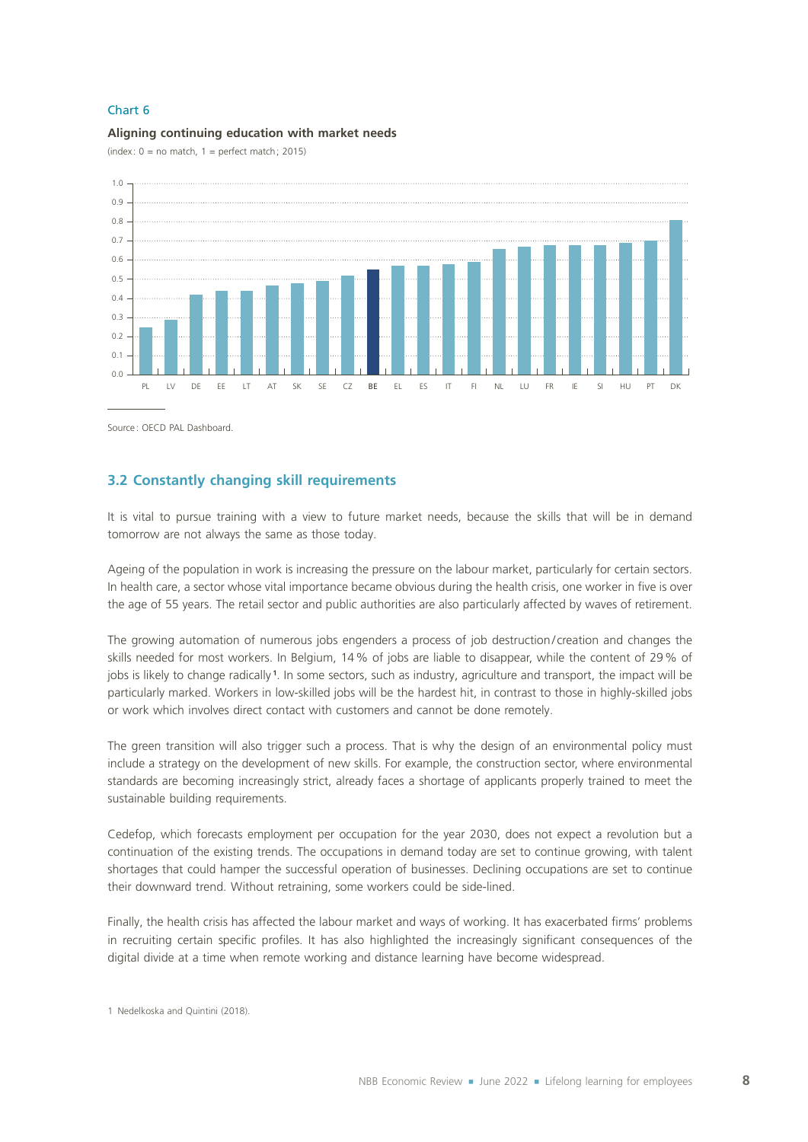#### Chart 6

#### **Aligning continuing education with market needs**

(index:  $0 =$  no match,  $1 =$  perfect match; 2015)



Source: OECD PAL Dashboard.

# **3.2 Constantly changing skill requirements**

It is vital to pursue training with a view to future market needs, because the skills that will be in demand tomorrow are not always the same as those today.

Ageing of the population in work is increasing the pressure on the labour market, particularly for certain sectors. In health care, a sector whose vital importance became obvious during the health crisis, one worker in five is over the age of 55 years. The retail sector and public authorities are also particularly affected by waves of retirement.

The growing automation of numerous jobs engenders a process of job destruction/ creation and changes the skills needed for most workers. In Belgium, 14% of jobs are liable to disappear, while the content of 29% of jobs is likely to change radically **<sup>1</sup>** . In some sectors, such as industry, agriculture and transport, the impact will be particularly marked. Workers in low-skilled jobs will be the hardest hit, in contrast to those in highly-skilled jobs or work which involves direct contact with customers and cannot be done remotely.

The green transition will also trigger such a process. That is why the design of an environmental policy must include a strategy on the development of new skills. For example, the construction sector, where environmental standards are becoming increasingly strict, already faces a shortage of applicants properly trained to meet the sustainable building requirements.

Cedefop, which forecasts employment per occupation for the year 2030, does not expect a revolution but a continuation of the existing trends. The occupations in demand today are set to continue growing, with talent shortages that could hamper the successful operation of businesses. Declining occupations are set to continue their downward trend. Without retraining, some workers could be side-lined.

Finally, the health crisis has affected the labour market and ways of working. It has exacerbated firms' problems in recruiting certain specific profiles. It has also highlighted the increasingly significant consequences of the digital divide at a time when remote working and distance learning have become widespread.

<sup>1</sup> Nedelkoska and Quintini (2018).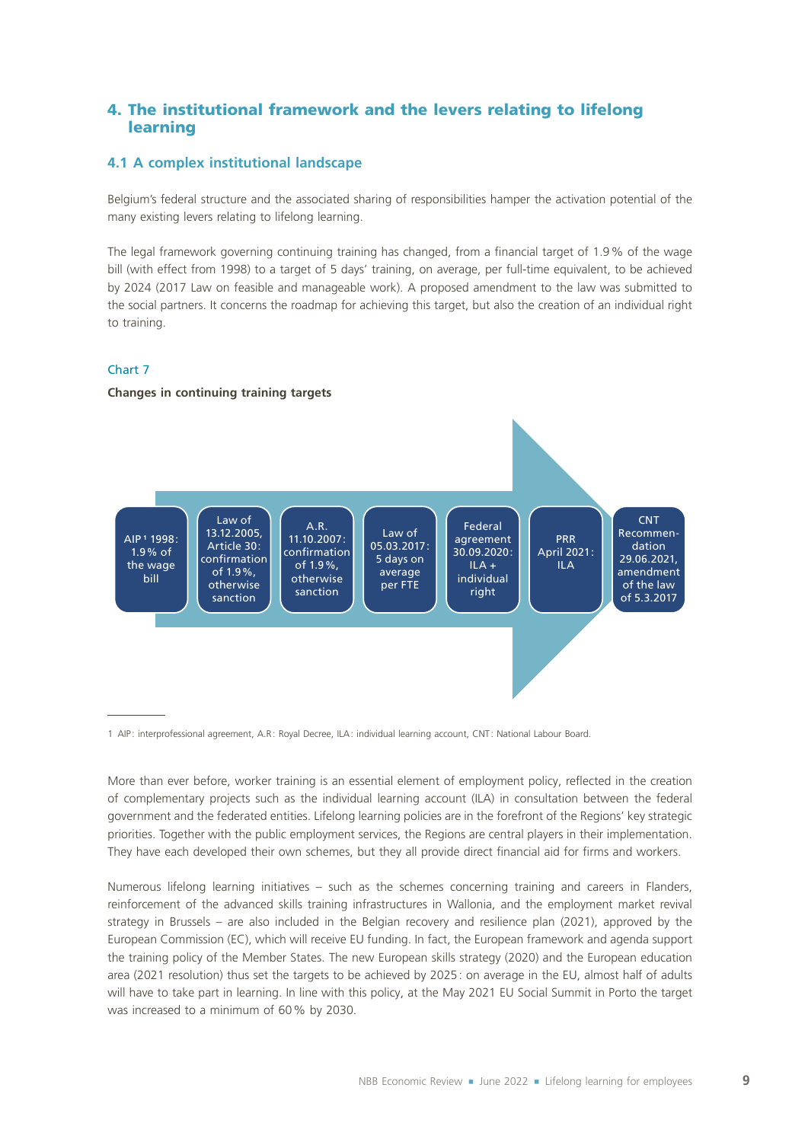# 4. The institutional framework and the levers relating to lifelong learning

## **4.1 A complex institutional landscape**

Belgium's federal structure and the associated sharing of responsibilities hamper the activation potential of the many existing levers relating to lifelong learning.

The legal framework governing continuing training has changed, from a financial target of 1.9% of the wage bill (with effect from 1998) to a target of 5 days' training, on average, per full-time equivalent, to be achieved by 2024 (2017 Law on feasible and manageable work). A proposed amendment to the law was submitted to the social partners. It concerns the roadmap for achieving this target, but also the creation of an individual right to training.

#### Chart 7

#### **Changes in continuing training targets**



1 AIP : interprofessional agreement, A.R: Royal Decree, ILA: individual learning account, CNT: National Labour Board.

More than ever before, worker training is an essential element of employment policy, reflected in the creation of complementary projects such as the individual learning account (ILA) in consultation between the federal government and the federated entities. Lifelong learning policies are in the forefront of the Regions' key strategic priorities. Together with the public employment services, the Regions are central players in their implementation. They have each developed their own schemes, but they all provide direct financial aid for firms and workers.

Numerous lifelong learning initiatives – such as the schemes concerning training and careers in Flanders, reinforcement of the advanced skills training infrastructures in Wallonia, and the employment market revival strategy in Brussels – are also included in the Belgian recovery and resilience plan (2021), approved by the European Commission (EC), which will receive EU funding. In fact, the European framework and agenda support the training policy of the Member States. The new European skills strategy (2020) and the European education area (2021 resolution) thus set the targets to be achieved by 2025: on average in the EU, almost half of adults will have to take part in learning. In line with this policy, at the May 2021 EU Social Summit in Porto the target was increased to a minimum of 60% by 2030.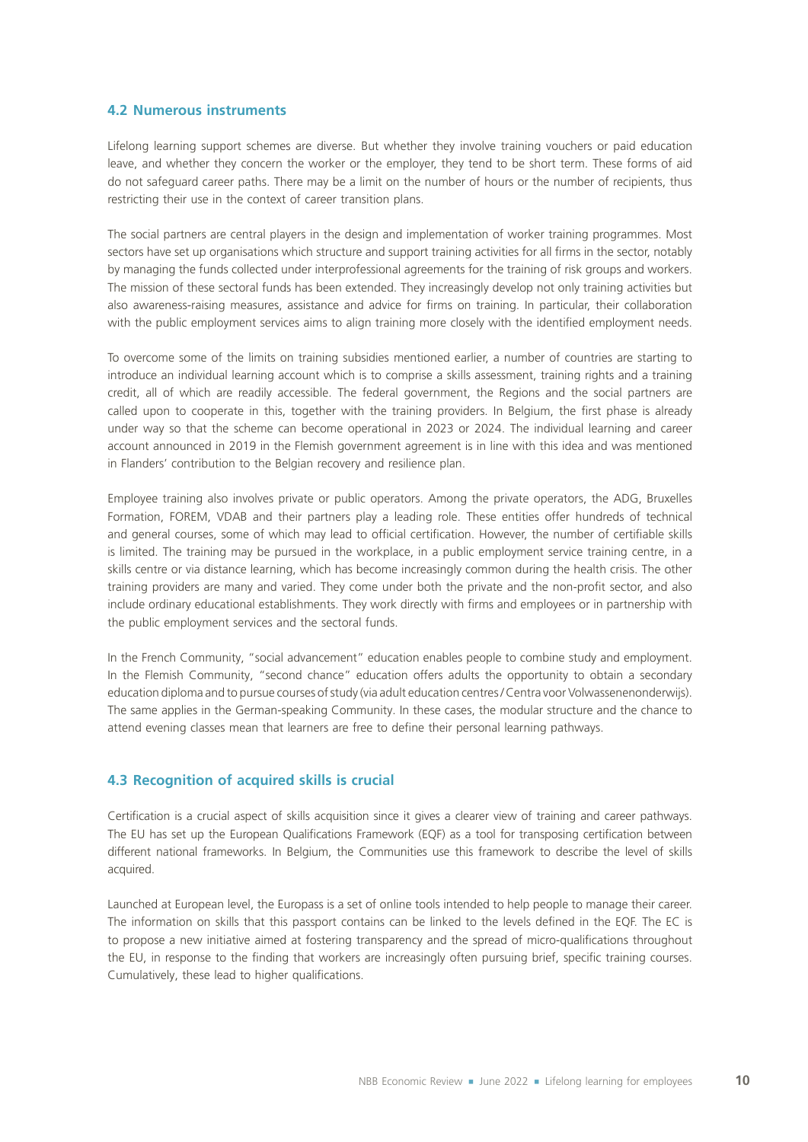#### **4.2 Numerous instruments**

Lifelong learning support schemes are diverse. But whether they involve training vouchers or paid education leave, and whether they concern the worker or the employer, they tend to be short term. These forms of aid do not safeguard career paths. There may be a limit on the number of hours or the number of recipients, thus restricting their use in the context of career transition plans.

The social partners are central players in the design and implementation of worker training programmes. Most sectors have set up organisations which structure and support training activities for all firms in the sector, notably by managing the funds collected under interprofessional agreements for the training of risk groups and workers. The mission of these sectoral funds has been extended. They increasingly develop not only training activities but also awareness‑raising measures, assistance and advice for firms on training. In particular, their collaboration with the public employment services aims to align training more closely with the identified employment needs.

To overcome some of the limits on training subsidies mentioned earlier, a number of countries are starting to introduce an individual learning account which is to comprise a skills assessment, training rights and a training credit, all of which are readily accessible. The federal government, the Regions and the social partners are called upon to cooperate in this, together with the training providers. In Belgium, the first phase is already under way so that the scheme can become operational in 2023 or 2024. The individual learning and career account announced in 2019 in the Flemish government agreement is in line with this idea and was mentioned in Flanders' contribution to the Belgian recovery and resilience plan.

Employee training also involves private or public operators. Among the private operators, the ADG, Bruxelles Formation, FOREM, VDAB and their partners play a leading role. These entities offer hundreds of technical and general courses, some of which may lead to official certification. However, the number of certifiable skills is limited. The training may be pursued in the workplace, in a public employment service training centre, in a skills centre or via distance learning, which has become increasingly common during the health crisis. The other training providers are many and varied. They come under both the private and the non-profit sector, and also include ordinary educational establishments. They work directly with firms and employees or in partnership with the public employment services and the sectoral funds.

In the French Community, "social advancement" education enables people to combine study and employment. In the Flemish Community, "second chance" education offers adults the opportunity to obtain a secondary education diploma and to pursue courses of study (via adult education centres / Centra voor Volwassenenonderwijs). The same applies in the German‑speaking Community. In these cases, the modular structure and the chance to attend evening classes mean that learners are free to define their personal learning pathways.

#### **4.3 Recognition of acquired skills is crucial**

Certification is a crucial aspect of skills acquisition since it gives a clearer view of training and career pathways. The EU has set up the European Qualifications Framework (EQF) as a tool for transposing certification between different national frameworks. In Belgium, the Communities use this framework to describe the level of skills acquired.

Launched at European level, the Europass is a set of online tools intended to help people to manage their career. The information on skills that this passport contains can be linked to the levels defined in the EQF. The EC is to propose a new initiative aimed at fostering transparency and the spread of micro-qualifications throughout the EU, in response to the finding that workers are increasingly often pursuing brief, specific training courses. Cumulatively, these lead to higher qualifications.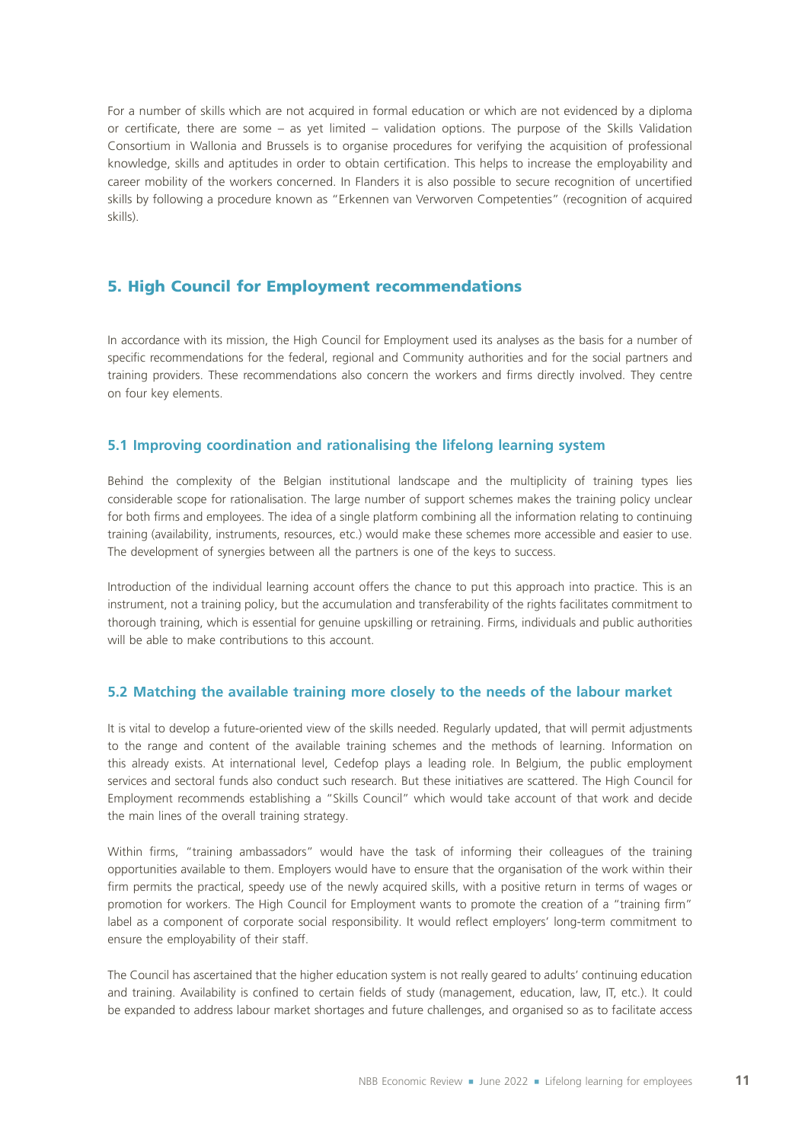For a number of skills which are not acquired in formal education or which are not evidenced by a diploma or certificate, there are some – as yet limited – validation options. The purpose of the Skills Validation Consortium in Wallonia and Brussels is to organise procedures for verifying the acquisition of professional knowledge, skills and aptitudes in order to obtain certification. This helps to increase the employability and career mobility of the workers concerned. In Flanders it is also possible to secure recognition of uncertified skills by following a procedure known as "Erkennen van Verworven Competenties" (recognition of acquired skills).

# 5. High Council for Employment recommendations

In accordance with its mission, the High Council for Employment used its analyses as the basis for a number of specific recommendations for the federal, regional and Community authorities and for the social partners and training providers. These recommendations also concern the workers and firms directly involved. They centre on four key elements.

#### **5.1 Improving coordination and rationalising the lifelong learning system**

Behind the complexity of the Belgian institutional landscape and the multiplicity of training types lies considerable scope for rationalisation. The large number of support schemes makes the training policy unclear for both firms and employees. The idea of a single platform combining all the information relating to continuing training (availability, instruments, resources, etc.) would make these schemes more accessible and easier to use. The development of synergies between all the partners is one of the keys to success.

Introduction of the individual learning account offers the chance to put this approach into practice. This is an instrument, not a training policy, but the accumulation and transferability of the rights facilitates commitment to thorough training, which is essential for genuine upskilling or retraining. Firms, individuals and public authorities will be able to make contributions to this account.

#### **5.2 Matching the available training more closely to the needs of the labour market**

It is vital to develop a future-oriented view of the skills needed. Regularly updated, that will permit adjustments to the range and content of the available training schemes and the methods of learning. Information on this already exists. At international level, Cedefop plays a leading role. In Belgium, the public employment services and sectoral funds also conduct such research. But these initiatives are scattered. The High Council for Employment recommends establishing a "Skills Council" which would take account of that work and decide the main lines of the overall training strategy.

Within firms, "training ambassadors" would have the task of informing their colleagues of the training opportunities available to them. Employers would have to ensure that the organisation of the work within their firm permits the practical, speedy use of the newly acquired skills, with a positive return in terms of wages or promotion for workers. The High Council for Employment wants to promote the creation of a "training firm" label as a component of corporate social responsibility. It would reflect employers' long-term commitment to ensure the employability of their staff.

The Council has ascertained that the higher education system is not really geared to adults' continuing education and training. Availability is confined to certain fields of study (management, education, law, IT, etc.). It could be expanded to address labour market shortages and future challenges, and organised so as to facilitate access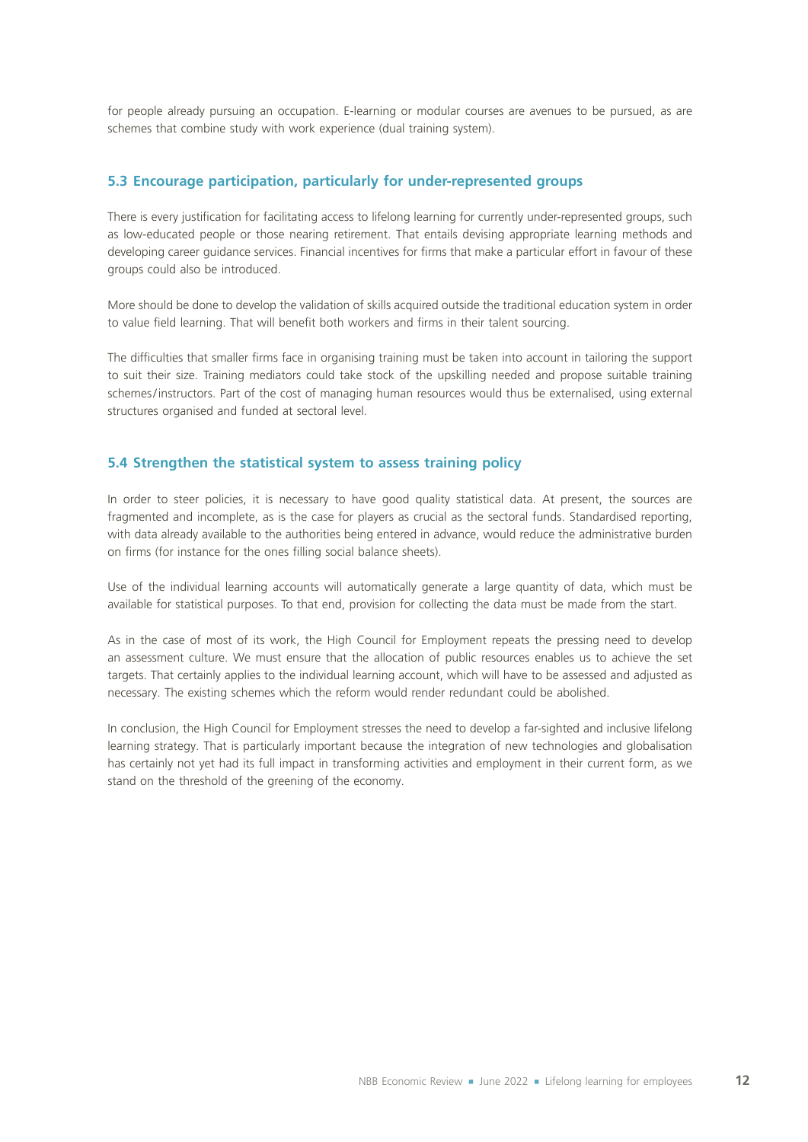for people already pursuing an occupation. E‑learning or modular courses are avenues to be pursued, as are schemes that combine study with work experience (dual training system).

### **5.3 Encourage participation, particularly for under‑represented groups**

There is every justification for facilitating access to lifelong learning for currently under-represented groups, such as low‑educated people or those nearing retirement. That entails devising appropriate learning methods and developing career guidance services. Financial incentives for firms that make a particular effort in favour of these groups could also be introduced.

More should be done to develop the validation of skills acquired outside the traditional education system in order to value field learning. That will benefit both workers and firms in their talent sourcing.

The difficulties that smaller firms face in organising training must be taken into account in tailoring the support to suit their size. Training mediators could take stock of the upskilling needed and propose suitable training schemes/instructors. Part of the cost of managing human resources would thus be externalised, using external structures organised and funded at sectoral level.

#### **5.4 Strengthen the statistical system to assess training policy**

In order to steer policies, it is necessary to have good quality statistical data. At present, the sources are fragmented and incomplete, as is the case for players as crucial as the sectoral funds. Standardised reporting, with data already available to the authorities being entered in advance, would reduce the administrative burden on firms (for instance for the ones filling social balance sheets).

Use of the individual learning accounts will automatically generate a large quantity of data, which must be available for statistical purposes. To that end, provision for collecting the data must be made from the start.

As in the case of most of its work, the High Council for Employment repeats the pressing need to develop an assessment culture. We must ensure that the allocation of public resources enables us to achieve the set targets. That certainly applies to the individual learning account, which will have to be assessed and adjusted as necessary. The existing schemes which the reform would render redundant could be abolished.

In conclusion, the High Council for Employment stresses the need to develop a far-sighted and inclusive lifelong learning strategy. That is particularly important because the integration of new technologies and globalisation has certainly not yet had its full impact in transforming activities and employment in their current form, as we stand on the threshold of the greening of the economy.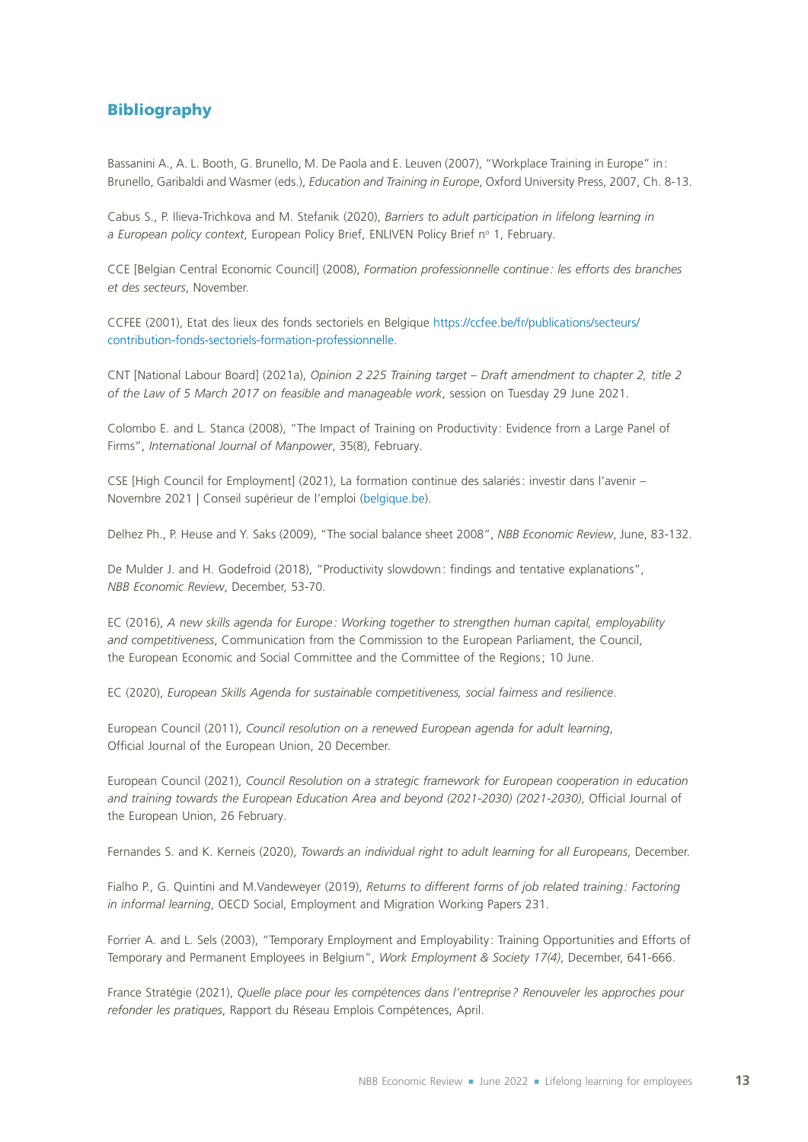# Bibliography

Bassanini A., A. L. Booth, G. Brunello, M. De Paola and E. Leuven (2007), "Workplace Training in Europe" in: Brunello, Garibaldi and Wasmer (eds.), *Education and Training in Europe*, Oxford University Press, 2007, Ch. 8‑13.

Cabus S., P. Ilieva‑Trichkova and M. Stefanik (2020), *Barriers to adult participation in lifelong learning in*  a European policy context, European Policy Brief, ENLIVEN Policy Brief nº 1, February.

CCE [Belgian Central Economic Council] (2008), *Formation professionnelle continue: les efforts des branches et des secteurs*, November.

CCFEE (2001), Etat des lieux des fonds sectoriels en Belgique [https://ccfee.be/fr/publications/secteurs/](https://ccfee.be/fr/publications/secteurs/contribution-fonds-sectoriels-formation-professionnelle) [contribution-fonds-sectoriels-formation-professionnelle](https://ccfee.be/fr/publications/secteurs/contribution-fonds-sectoriels-formation-professionnelle).

CNT [National Labour Board] (2021a), *Opinion 2 225 Training target – Draft amendment to chapter 2, title 2 of the Law of 5 March 2017 on feasible and manageable work*, session on Tuesday 29 June 2021.

Colombo E. and L. Stanca (2008), "The Impact of Training on Productivity : Evidence from a Large Panel of Firms", *International Journal of Manpower*, 35(8), February.

CSE [High Council for Employment] (2021), La formation continue des salariés: investir dans l'avenir – Novembre 2021 | Conseil supérieur de l'emploi ([belgique.be](https://cse.belgique.be/fr/accueil/rapports-avis/rapports-2021/la-formation-continue-des-salaries-investir-dans-lavenir-novembre-2021)).

Delhez Ph., P. Heuse and Y. Saks (2009), "The social balance sheet 2008", *NBB Economic Review*, June, 83‑132.

De Mulder J. and H. Godefroid (2018), "Productivity slowdown: findings and tentative explanations", *NBB Economic Review*, December, 53‑70.

EC (2016), *A new skills agenda for Europe : Working together to strengthen human capital, employability and competitiveness*, Communication from the Commission to the European Parliament, the Council, the European Economic and Social Committee and the Committee of the Regions; 10 June.

EC (2020), *European Skills Agenda for sustainable competitiveness, social fairness and resilience*.

European Council (2011), *Council resolution on a renewed European agenda for adult learning*, Official Journal of the European Union, 20 December.

European Council (2021), *Council Resolution on a strategic framework for European cooperation in education and training towards the European Education Area and beyond (2021‑2030) (2021‑2030)*, Official Journal of the European Union, 26 February.

Fernandes S. and K. Kerneis (2020), *Towards an individual right to adult learning for all Europeans*, December.

Fialho P., G. Quintini and M.Vandeweyer (2019), *Returns to different forms of job related training: Factoring in informal learning*, OECD Social, Employment and Migration Working Papers 231.

Forrier A. and L. Sels (2003), "Temporary Employment and Employability: Training Opportunities and Efforts of Temporary and Permanent Employees in Belgium", *Work Employment & Society 17(4)*, December, 641‑666.

France Stratégie (2021), *Quelle place pour les compétences dans l'entreprise? Renouveler les approches pour refonder les pratiques*, Rapport du Réseau Emplois Compétences, April.